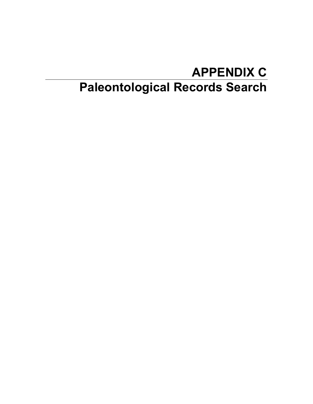## **APPENDIX C Paleontological Records Search**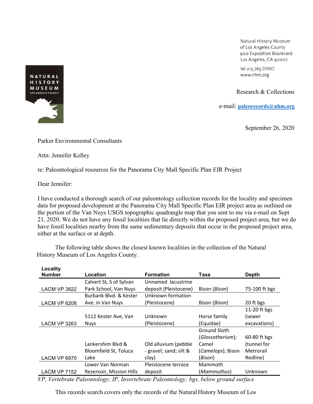Natural History Museum of Los Angeles County 900 Exposition Boulevard Los Angeles, CA 90007

tel 213.763.DINO www.nhm.org

Research & Collections

e-mail: **[paleorecords@nhm.org](mailto:smcleod@nhm.org)**

September 26, 2020

Parker Environmental Consultants

Attn: Jennifer Kelley

re: Paleontological resources for the Panorama City Mall Specific Plan EIR Project

Dear Jennifer:

I have conducted a thorough search of our paleontology collection records for the locality and specimen data for proposed development at the Panorama City Mall Specific Plan EIR project area as outlined on the portion of the Van Nuys USGS topographic quadrangle map that you sent to me via e-mail on Sept 21, 2020. We do not have any fossil localities that lie directly within the proposed project area, but we do have fossil localities nearby from the same sedimentary deposits that occur in the proposed project area, either at the surface or at depth.

The following table shows the closest known localities in the collection of the Natural History Museum of Los Angeles County.

| Locality            |                          |                        |                   |               |
|---------------------|--------------------------|------------------------|-------------------|---------------|
| <b>Number</b>       | Location                 | <b>Formation</b>       | Taxa              | <b>Depth</b>  |
|                     | Calvert St, S of Sylvan  | Unnamed lacustrine     |                   |               |
| <b>LACM VP 3822</b> | Park School, Van Nuys    | deposit (Pleistocene)  | Bison (Bison)     | 75-100 ft bgs |
|                     | Burbank Blvd. & Kester   | Unknown formation      |                   |               |
| <b>LACM VP 6208</b> | Ave. in Van Nuys         | (Pleistocene)          | Bison (Bison)     | 20 ft bgs     |
|                     |                          |                        |                   | 11-20 ft bgs  |
|                     | 5112 Kester Ave, Van     | Unknown                | Horse family      | (sewer        |
| <b>LACM VP 3263</b> | <b>Nuys</b>              | (Pleistocene)          | (Equidae)         | excavations)  |
|                     |                          |                        | Ground Sloth      |               |
|                     |                          |                        | (Glossotherium);  | 60-80 ft bgs  |
|                     | Lankershim Blyd &        | Old alluvium (pebble   | Camel             | (tunnel for   |
|                     | Bloomfield St, Toluca    | - gravel; sand; silt & | (Camelops); Bison | Metrorail     |
| <b>LACM VP 6970</b> | Lake                     | clay)                  | (Bison)           | Redline)      |
|                     | Lower Van Norman         | Pleistocene terrace    | Mammoth           |               |
| <b>LACM VP 7152</b> | Reservoir, Mission Hills | deposit                | (Mammuthus)       | Unknown       |

*VP, Vertebrate Paleontology; IP, Invertebrate Paleontology; bgs, below ground surface*

This records search covers only the records of the Natural History Museum of Los